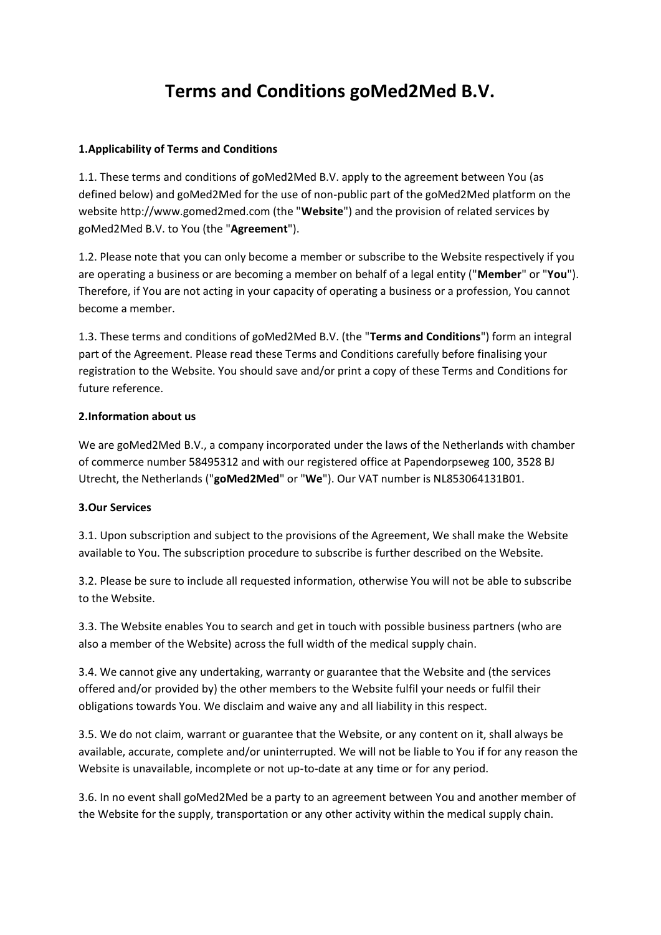# **Terms and Conditions goMed2Med B.V.**

#### **1.Applicability of Terms and Conditions**

1.1. These terms and conditions of goMed2Med B.V. apply to the agreement between You (as defined below) and goMed2Med for the use of non-public part of the goMed2Med platform on the website http://www.gomed2med.com (the "**Website**") and the provision of related services by goMed2Med B.V. to You (the "**Agreement**").

1.2. Please note that you can only become a member or subscribe to the Website respectively if you are operating a business or are becoming a member on behalf of a legal entity ("**Member**" or "**You**"). Therefore, if You are not acting in your capacity of operating a business or a profession, You cannot become a member.

1.3. These terms and conditions of goMed2Med B.V. (the "**Terms and Conditions**") form an integral part of the Agreement. Please read these Terms and Conditions carefully before finalising your registration to the Website. You should save and/or print a copy of these Terms and Conditions for future reference.

#### **2.Information about us**

We are goMed2Med B.V., a company incorporated under the laws of the Netherlands with chamber of commerce number 58495312 and with our registered office at Papendorpseweg 100, 3528 BJ Utrecht, the Netherlands ("**goMed2Med**" or "**We**"). Our VAT number is NL853064131B01.

## **3.Our Services**

3.1. Upon subscription and subject to the provisions of the Agreement, We shall make the Website available to You. The subscription procedure to subscribe is further described on the Website.

3.2. Please be sure to include all requested information, otherwise You will not be able to subscribe to the Website.

3.3. The Website enables You to search and get in touch with possible business partners (who are also a member of the Website) across the full width of the medical supply chain.

3.4. We cannot give any undertaking, warranty or guarantee that the Website and (the services offered and/or provided by) the other members to the Website fulfil your needs or fulfil their obligations towards You. We disclaim and waive any and all liability in this respect.

3.5. We do not claim, warrant or guarantee that the Website, or any content on it, shall always be available, accurate, complete and/or uninterrupted. We will not be liable to You if for any reason the Website is unavailable, incomplete or not up-to-date at any time or for any period.

3.6. In no event shall goMed2Med be a party to an agreement between You and another member of the Website for the supply, transportation or any other activity within the medical supply chain.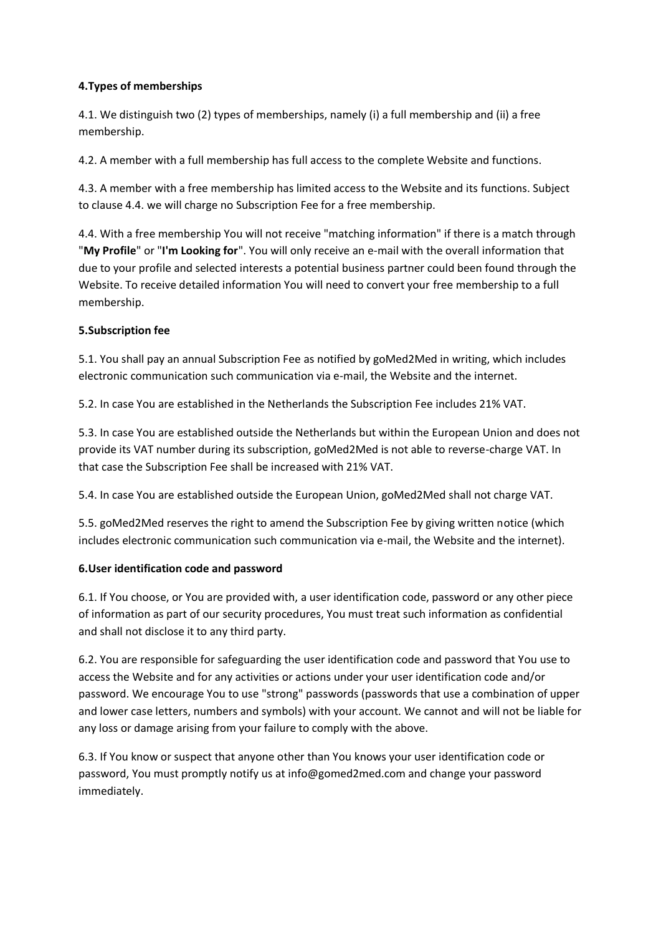## **4.Types of memberships**

4.1. We distinguish two (2) types of memberships, namely (i) a full membership and (ii) a free membership.

4.2. A member with a full membership has full access to the complete Website and functions.

4.3. A member with a free membership has limited access to the Website and its functions. Subject to clause 4.4. we will charge no Subscription Fee for a free membership.

4.4. With a free membership You will not receive "matching information" if there is a match through "**My Profile**" or "**I'm Looking for**". You will only receive an e-mail with the overall information that due to your profile and selected interests a potential business partner could been found through the Website. To receive detailed information You will need to convert your free membership to a full membership.

## **5.Subscription fee**

5.1. You shall pay an annual Subscription Fee as notified by goMed2Med in writing, which includes electronic communication such communication via e-mail, the Website and the internet.

5.2. In case You are established in the Netherlands the Subscription Fee includes 21% VAT.

5.3. In case You are established outside the Netherlands but within the European Union and does not provide its VAT number during its subscription, goMed2Med is not able to reverse-charge VAT. In that case the Subscription Fee shall be increased with 21% VAT.

5.4. In case You are established outside the European Union, goMed2Med shall not charge VAT.

5.5. goMed2Med reserves the right to amend the Subscription Fee by giving written notice (which includes electronic communication such communication via e-mail, the Website and the internet).

#### **6.User identification code and password**

6.1. If You choose, or You are provided with, a user identification code, password or any other piece of information as part of our security procedures, You must treat such information as confidential and shall not disclose it to any third party.

6.2. You are responsible for safeguarding the user identification code and password that You use to access the Website and for any activities or actions under your user identification code and/or password. We encourage You to use "strong" passwords (passwords that use a combination of upper and lower case letters, numbers and symbols) with your account. We cannot and will not be liable for any loss or damage arising from your failure to comply with the above.

6.3. If You know or suspect that anyone other than You knows your user identification code or password, You must promptly notify us at info@gomed2med.com and change your password immediately.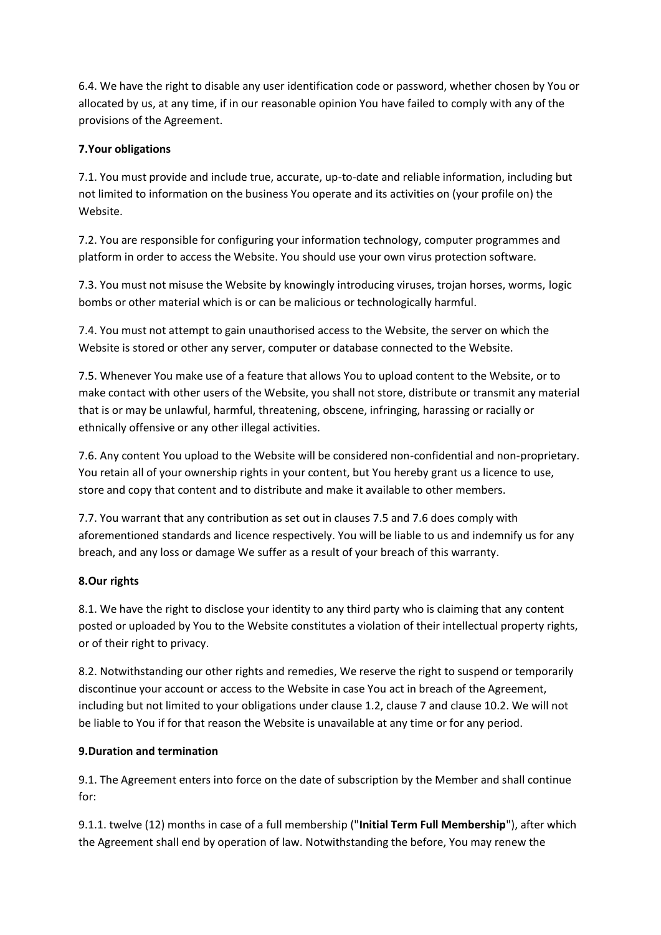6.4. We have the right to disable any user identification code or password, whether chosen by You or allocated by us, at any time, if in our reasonable opinion You have failed to comply with any of the provisions of the Agreement.

## **7.Your obligations**

7.1. You must provide and include true, accurate, up-to-date and reliable information, including but not limited to information on the business You operate and its activities on (your profile on) the Website.

7.2. You are responsible for configuring your information technology, computer programmes and platform in order to access the Website. You should use your own virus protection software.

7.3. You must not misuse the Website by knowingly introducing viruses, trojan horses, worms, logic bombs or other material which is or can be malicious or technologically harmful.

7.4. You must not attempt to gain unauthorised access to the Website, the server on which the Website is stored or other any server, computer or database connected to the Website.

7.5. Whenever You make use of a feature that allows You to upload content to the Website, or to make contact with other users of the Website, you shall not store, distribute or transmit any material that is or may be unlawful, harmful, threatening, obscene, infringing, harassing or racially or ethnically offensive or any other illegal activities.

7.6. Any content You upload to the Website will be considered non-confidential and non-proprietary. You retain all of your ownership rights in your content, but You hereby grant us a licence to use, store and copy that content and to distribute and make it available to other members.

7.7. You warrant that any contribution as set out in clauses 7.5 and 7.6 does comply with aforementioned standards and licence respectively. You will be liable to us and indemnify us for any breach, and any loss or damage We suffer as a result of your breach of this warranty.

## **8.Our rights**

8.1. We have the right to disclose your identity to any third party who is claiming that any content posted or uploaded by You to the Website constitutes a violation of their intellectual property rights, or of their right to privacy.

8.2. Notwithstanding our other rights and remedies, We reserve the right to suspend or temporarily discontinue your account or access to the Website in case You act in breach of the Agreement, including but not limited to your obligations under clause 1.2, clause 7 and clause 10.2. We will not be liable to You if for that reason the Website is unavailable at any time or for any period.

## **9.Duration and termination**

9.1. The Agreement enters into force on the date of subscription by the Member and shall continue for:

9.1.1. twelve (12) months in case of a full membership ("**Initial Term Full Membership**"), after which the Agreement shall end by operation of law. Notwithstanding the before, You may renew the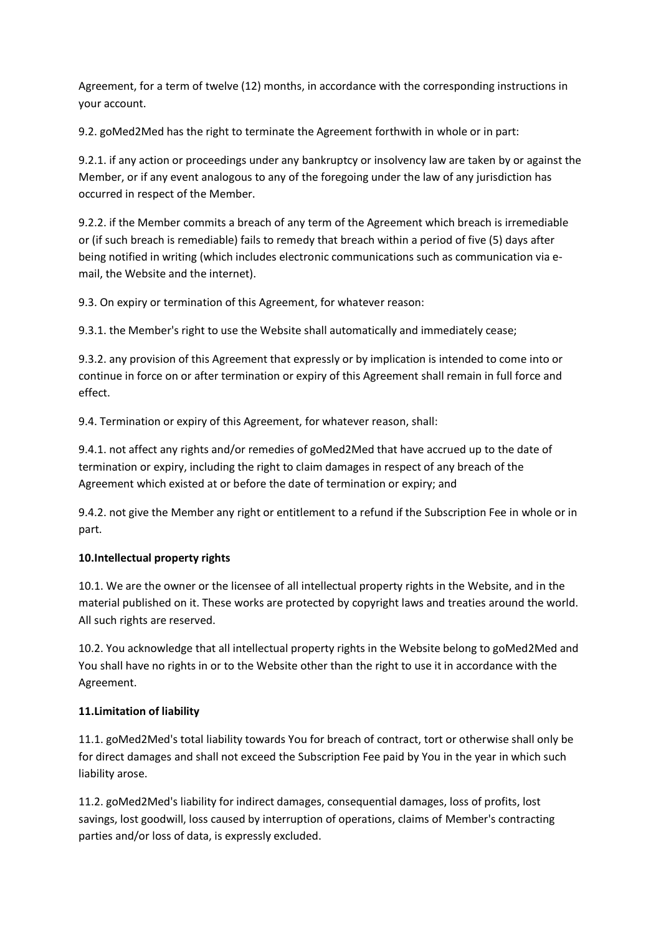Agreement, for a term of twelve (12) months, in accordance with the corresponding instructions in your account.

9.2. goMed2Med has the right to terminate the Agreement forthwith in whole or in part:

9.2.1. if any action or proceedings under any bankruptcy or insolvency law are taken by or against the Member, or if any event analogous to any of the foregoing under the law of any jurisdiction has occurred in respect of the Member.

9.2.2. if the Member commits a breach of any term of the Agreement which breach is irremediable or (if such breach is remediable) fails to remedy that breach within a period of five (5) days after being notified in writing (which includes electronic communications such as communication via email, the Website and the internet).

9.3. On expiry or termination of this Agreement, for whatever reason:

9.3.1. the Member's right to use the Website shall automatically and immediately cease;

9.3.2. any provision of this Agreement that expressly or by implication is intended to come into or continue in force on or after termination or expiry of this Agreement shall remain in full force and effect.

9.4. Termination or expiry of this Agreement, for whatever reason, shall:

9.4.1. not affect any rights and/or remedies of goMed2Med that have accrued up to the date of termination or expiry, including the right to claim damages in respect of any breach of the Agreement which existed at or before the date of termination or expiry; and

9.4.2. not give the Member any right or entitlement to a refund if the Subscription Fee in whole or in part.

## **10.Intellectual property rights**

10.1. We are the owner or the licensee of all intellectual property rights in the Website, and in the material published on it. These works are protected by copyright laws and treaties around the world. All such rights are reserved.

10.2. You acknowledge that all intellectual property rights in the Website belong to goMed2Med and You shall have no rights in or to the Website other than the right to use it in accordance with the Agreement.

## **11.Limitation of liability**

11.1. goMed2Med's total liability towards You for breach of contract, tort or otherwise shall only be for direct damages and shall not exceed the Subscription Fee paid by You in the year in which such liability arose.

11.2. goMed2Med's liability for indirect damages, consequential damages, loss of profits, lost savings, lost goodwill, loss caused by interruption of operations, claims of Member's contracting parties and/or loss of data, is expressly excluded.